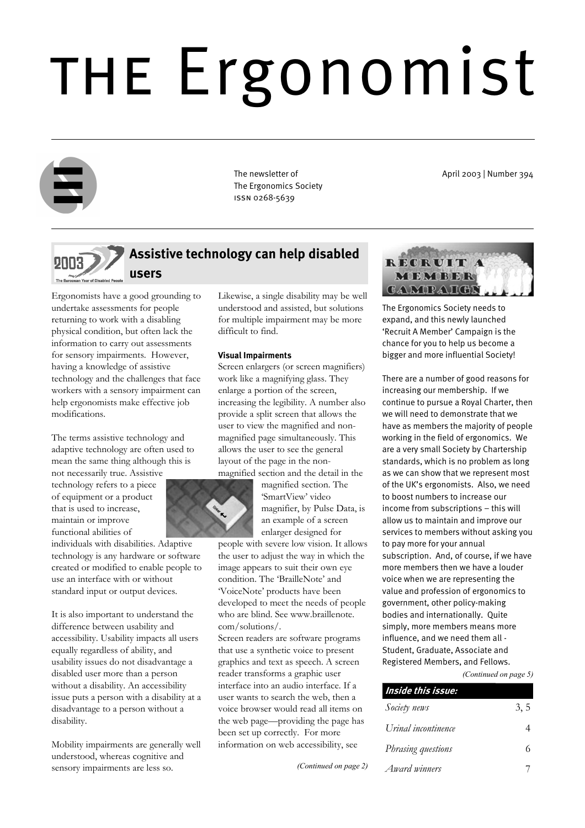# the Ergonomist



The Ergonomics Society issn 0268-5639

The newsletter of  $\blacksquare$  April 2003 | Number 394

### **Assistive technology can help disabled users**

Ergonomists have a good grounding to undertake assessments for people returning to work with a disabling physical condition, but often lack the information to carry out assessments for sensory impairments. However, having a knowledge of assistive technology and the challenges that face workers with a sensory impairment can help ergonomists make effective job modifications.

The terms assistive technology and adaptive technology are often used to mean the same thing although this is

not necessarily true. Assistive technology refers to a piece of equipment or a product that is used to increase, maintain or improve functional abilities of

individuals with disabilities. Adaptive technology is any hardware or software created or modified to enable people to use an interface with or without standard input or output devices.

It is also important to understand the difference between usability and accessibility. Usability impacts all users equally regardless of ability, and usability issues do not disadvantage a disabled user more than a person without a disability. An accessibility issue puts a person with a disability at a disadvantage to a person without a disability.

Mobility impairments are generally well understood, whereas cognitive and sensory impairments are less so.

Likewise, a single disability may be well understood and assisted, but solutions for multiple impairment may be more difficult to find.

#### **Visual Impairments**

Screen enlargers (or screen magnifiers) work like a magnifying glass. They enlarge a portion of the screen, increasing the legibility. A number also provide a split screen that allows the user to view the magnified and nonmagnified page simultaneously. This allows the user to see the general layout of the page in the nonmagnified section and the detail in the

magnified section. The 'SmartView' video magnifier, by Pulse Data, is an example of a screen enlarger designed for

people with severe low vision. It allows the user to adjust the way in which the image appears to suit their own eye condition. The 'BrailleNote' and 'VoiceNote' products have been developed to meet the needs of people who are blind. See www.braillenote. com/solutions/.

Screen readers are software programs that use a synthetic voice to present graphics and text as speech. A screen reader transforms a graphic user interface into an audio interface. If a user wants to search the web, then a voice browser would read all items on the web page—providing the page has been set up correctly. For more information on web accessibility, see

*(Continued on page 2)* 



The Ergonomics Society needs to expand, and this newly launched 'Recruit A Member' Campaign is the chance for you to help us become a bigger and more influential Society!

There are a number of good reasons for increasing our membership. If we continue to pursue a Royal Charter, then we will need to demonstrate that we have as members the majority of people working in the field of ergonomics. We are a very small Society by Chartership standards, which is no problem as long as we can show that we represent most of the UK's ergonomists. Also, we need to boost numbers to increase our income from subscriptions – this will allow us to maintain and improve our services to members without asking you to pay more for your annual subscription. And, of course, if we have more members then we have a louder voice when we are representing the value and profession of ergonomics to government, other policy-making bodies and internationally. Quite simply, more members means more influence, and we need them all - Student, Graduate, Associate and Registered Members, and Fellows.

*(Continued on page 5)* 

| Inside this issue:  |     |
|---------------------|-----|
| Society news        | 3.5 |
| Urinal incontinence | 4   |
| Phrasing questions  | 6   |
| Award winners       |     |